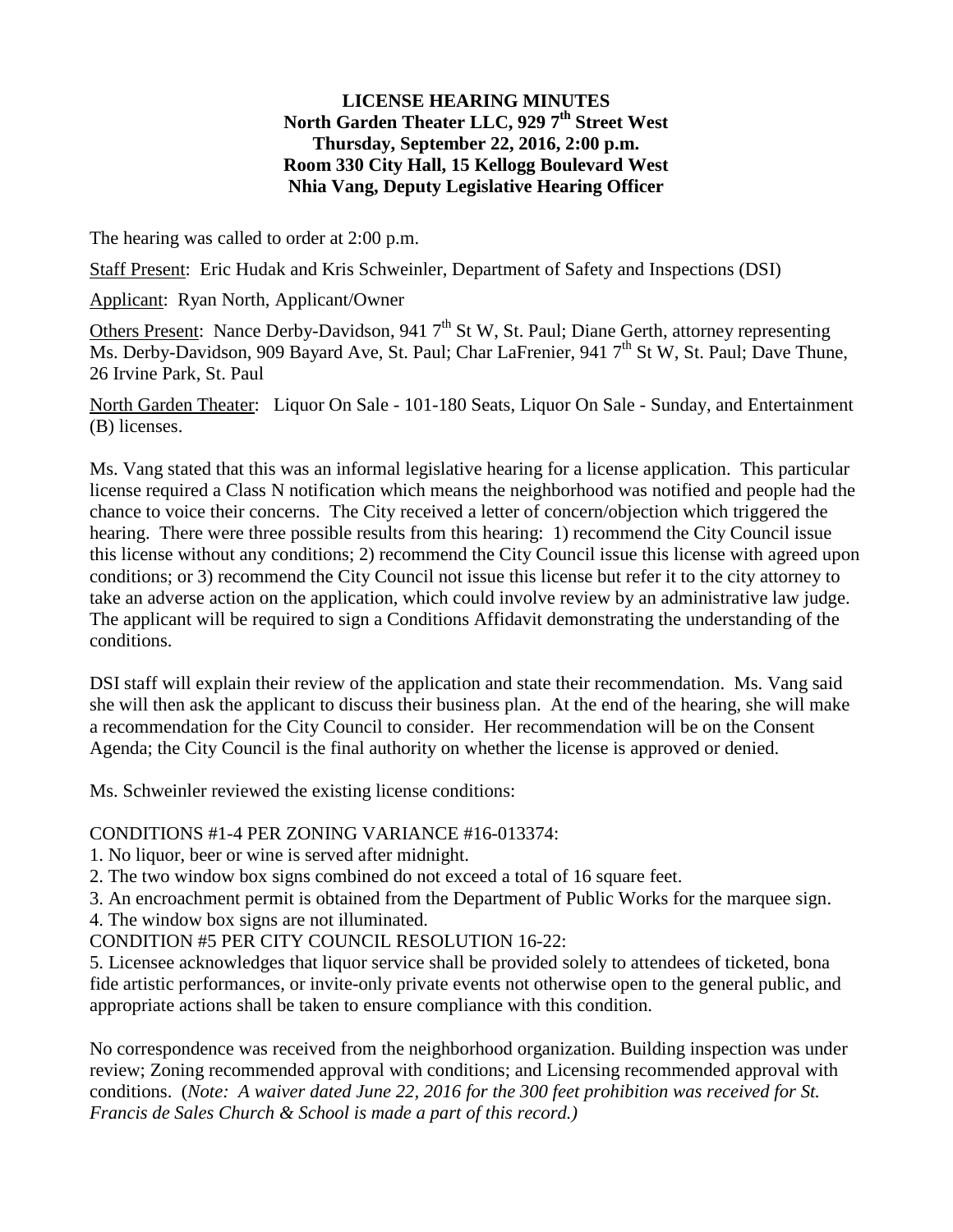## **LICENSE HEARING MINUTES** North Garden Theater LLC, 929 7<sup>th</sup> Street West **Thursday, September 22, 2016, 2:00 p.m. Room 330 City Hall, 15 Kellogg Boulevard West Nhia Vang, Deputy Legislative Hearing Officer**

The hearing was called to order at 2:00 p.m.

Staff Present: Eric Hudak and Kris Schweinler, Department of Safety and Inspections (DSI)

Applicant: Ryan North, Applicant/Owner

Others Present: Nance Derby-Davidson, 941  $7<sup>th</sup>$  St W, St. Paul; Diane Gerth, attorney representing Ms. Derby-Davidson, 909 Bayard Ave, St. Paul; Char LaFrenier, 941 7<sup>th</sup> St W, St. Paul; Dave Thune, 26 Irvine Park, St. Paul

North Garden Theater: Liquor On Sale - 101-180 Seats, Liquor On Sale - Sunday, and Entertainment (B) licenses.

Ms. Vang stated that this was an informal legislative hearing for a license application. This particular license required a Class N notification which means the neighborhood was notified and people had the chance to voice their concerns. The City received a letter of concern/objection which triggered the hearing. There were three possible results from this hearing: 1) recommend the City Council issue this license without any conditions; 2) recommend the City Council issue this license with agreed upon conditions; or 3) recommend the City Council not issue this license but refer it to the city attorney to take an adverse action on the application, which could involve review by an administrative law judge. The applicant will be required to sign a Conditions Affidavit demonstrating the understanding of the conditions.

DSI staff will explain their review of the application and state their recommendation. Ms. Vang said she will then ask the applicant to discuss their business plan. At the end of the hearing, she will make a recommendation for the City Council to consider. Her recommendation will be on the Consent Agenda; the City Council is the final authority on whether the license is approved or denied.

Ms. Schweinler reviewed the existing license conditions:

## CONDITIONS #1-4 PER ZONING VARIANCE #16-013374:

1. No liquor, beer or wine is served after midnight.

- 2. The two window box signs combined do not exceed a total of 16 square feet.
- 3. An encroachment permit is obtained from the Department of Public Works for the marquee sign.

4. The window box signs are not illuminated.

CONDITION #5 PER CITY COUNCIL RESOLUTION 16-22:

5. Licensee acknowledges that liquor service shall be provided solely to attendees of ticketed, bona fide artistic performances, or invite-only private events not otherwise open to the general public, and appropriate actions shall be taken to ensure compliance with this condition.

No correspondence was received from the neighborhood organization. Building inspection was under review; Zoning recommended approval with conditions; and Licensing recommended approval with conditions. (*Note: A waiver dated June 22, 2016 for the 300 feet prohibition was received for St. Francis de Sales Church & School is made a part of this record.)*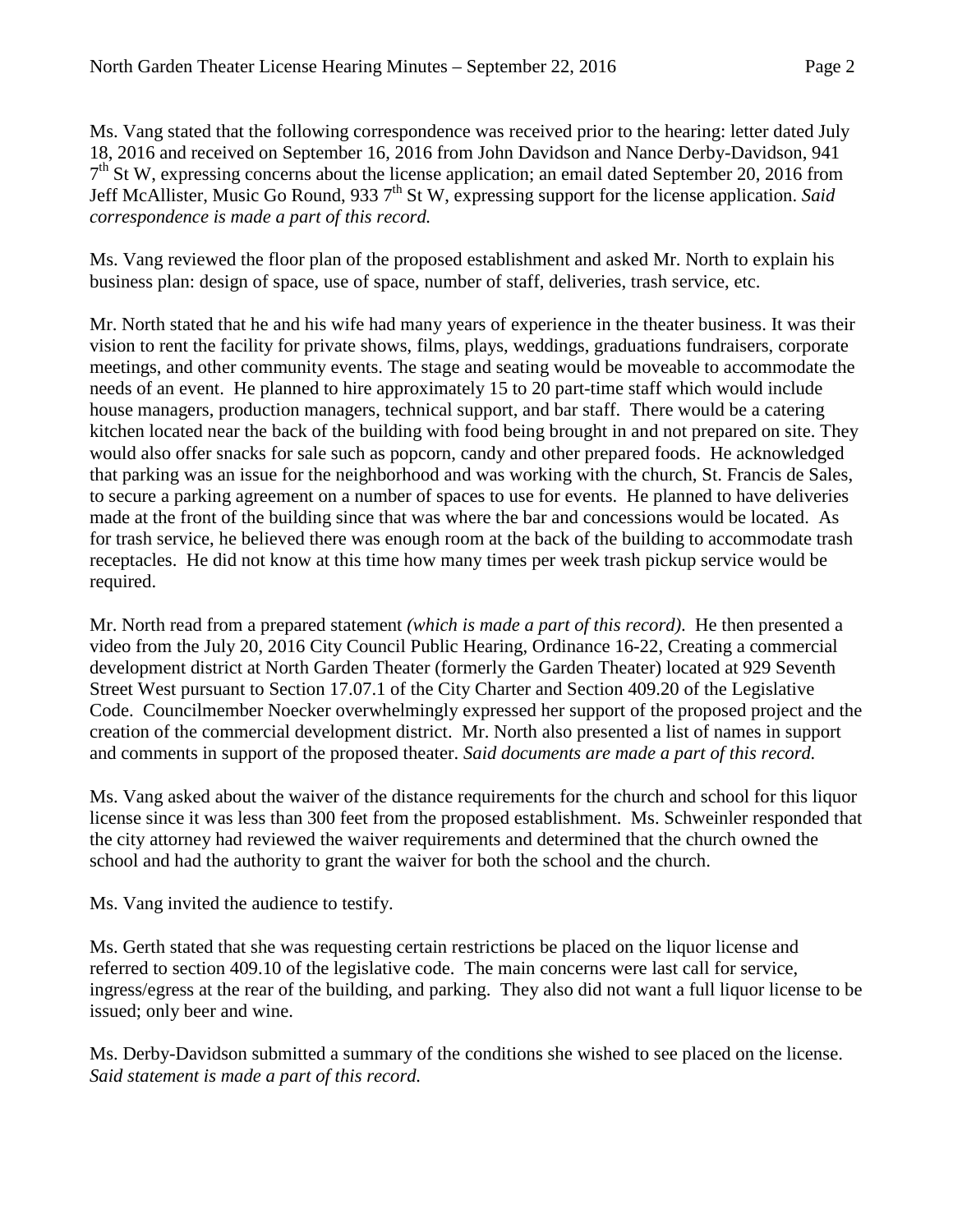Ms. Vang stated that the following correspondence was received prior to the hearing: letter dated July 18, 2016 and received on September 16, 2016 from John Davidson and Nance Derby-Davidson, 941  $7<sup>th</sup>$  St W, expressing concerns about the license application; an email dated September 20, 2016 from Jeff McAllister, Music Go Round, 933 7th St W, expressing support for the license application. *Said correspondence is made a part of this record.*

Ms. Vang reviewed the floor plan of the proposed establishment and asked Mr. North to explain his business plan: design of space, use of space, number of staff, deliveries, trash service, etc.

Mr. North stated that he and his wife had many years of experience in the theater business. It was their vision to rent the facility for private shows, films, plays, weddings, graduations fundraisers, corporate meetings, and other community events. The stage and seating would be moveable to accommodate the needs of an event. He planned to hire approximately 15 to 20 part-time staff which would include house managers, production managers, technical support, and bar staff. There would be a catering kitchen located near the back of the building with food being brought in and not prepared on site. They would also offer snacks for sale such as popcorn, candy and other prepared foods. He acknowledged that parking was an issue for the neighborhood and was working with the church, St. Francis de Sales, to secure a parking agreement on a number of spaces to use for events. He planned to have deliveries made at the front of the building since that was where the bar and concessions would be located. As for trash service, he believed there was enough room at the back of the building to accommodate trash receptacles. He did not know at this time how many times per week trash pickup service would be required.

Mr. North read from a prepared statement *(which is made a part of this record)*. He then presented a video from the July 20, 2016 City Council Public Hearing, Ordinance 16-22, Creating a commercial development district at North Garden Theater (formerly the Garden Theater) located at 929 Seventh Street West pursuant to Section 17.07.1 of the City Charter and Section 409.20 of the Legislative Code. Councilmember Noecker overwhelmingly expressed her support of the proposed project and the creation of the commercial development district. Mr. North also presented a list of names in support and comments in support of the proposed theater. *Said documents are made a part of this record.*

Ms. Vang asked about the waiver of the distance requirements for the church and school for this liquor license since it was less than 300 feet from the proposed establishment. Ms. Schweinler responded that the city attorney had reviewed the waiver requirements and determined that the church owned the school and had the authority to grant the waiver for both the school and the church.

Ms. Vang invited the audience to testify.

Ms. Gerth stated that she was requesting certain restrictions be placed on the liquor license and referred to section 409.10 of the legislative code. The main concerns were last call for service, ingress/egress at the rear of the building, and parking. They also did not want a full liquor license to be issued; only beer and wine.

Ms. Derby-Davidson submitted a summary of the conditions she wished to see placed on the license. *Said statement is made a part of this record.*